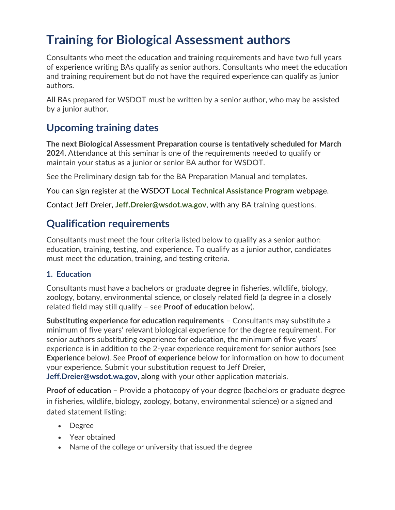# **Training for Biological Assessment authors**

 Consultants who meet the education and training requirements and have two full years of experience writing BAs qualify as senior authors. Consultants who meet the education and training requirement but do not have the required experience can qualify as junior authors.

 All BAs prepared for WSDOT must be written by a senior author, who may be assisted by a junior author.

## **Upcoming training dates**

 **The next Biological Assessment Preparation course is tentatively scheduled for March 2024.** Attendance at this seminar is one of the requirements needed to qualify or maintain your status as a junior or senior BA author for WSDOT.

See the Preliminary design tab for the BA Preparation Manual and templates.

You can sign register at the WSDOT **[Local Technical Assistance Program](https://wsdot.wa.gov/business-wsdot/support-local-programs/technical-assistance/environmental-services)** webpage.

Contact Jeff Dreier, **[Jeff.Dreier@wsdot.wa.gov](mailto:Jeff.Dreier@wsdot.wa.gov)**, with any BA training questions.

### **Qualification requirements**

 Consultants must meet the four criteria listed below to qualify as a senior author: education, training, testing, and experience. To qualify as a junior author, candidates must meet the education, training, and testing criteria.

#### **1. Education**

 Consultants must have a bachelors or graduate degree in fisheries, wildlife, biology, zoology, botany, environmental science, or closely related field (a degree in a closely related field may still qualify – see **Proof of education** below).

 **Substituting experience for education requirements** – Consultants may substitute a minimum of five years' relevant biological experience for the degree requirement. For senior authors substituting experience for education, the minimum of five years' experience is in addition to the 2-year experience requirement for senior authors (see **Experience** below). See **Proof of experience** below for information on how to document your experience. Submit your substitution request to Jeff Dreier, **[Jeff.Dreier@wsdot.wa.gov](mailto:Jeff.Dreier@wsdot.wa.gov)**, along with your other application materials.

 **Proof of education** – Provide a photocopy of your degree (bachelors or graduate degree in fisheries, wildlife, biology, zoology, botany, environmental science) or a signed and dated statement listing:

- Degree
- Year obtained
- Name of the college or university that issued the degree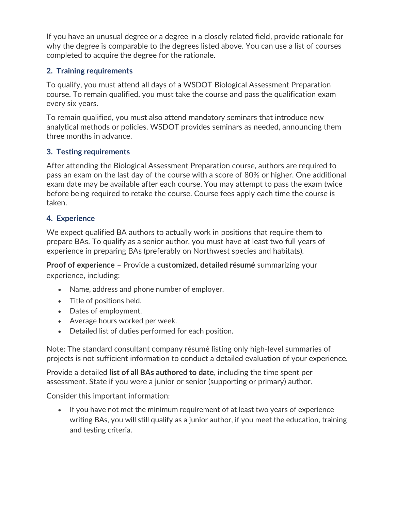If you have an unusual degree or a degree in a closely related field, provide rationale for why the degree is comparable to the degrees listed above. You can use a list of courses completed to acquire the degree for the rationale.

#### **2. Training requirements**

 To qualify, you must attend all days of a WSDOT Biological Assessment Preparation course. To remain qualified, you must take the course and pass the qualification exam every six years.

 To remain qualified, you must also attend mandatory seminars that introduce new analytical methods or policies. WSDOT provides seminars as needed, announcing them three months in advance.

#### **3. Testing requirements**

 After attending the Biological Assessment Preparation course, authors are required to pass an exam on the last day of the course with a score of 80% or higher. One additional exam date may be available after each course. You may attempt to pass the exam twice before being required to retake the course. Course fees apply each time the course is taken.

#### **4. Experience**

 We expect qualified BA authors to actually work in positions that require them to prepare BAs. To qualify as a senior author, you must have at least two full years of experience in preparing BAs (preferably on Northwest species and habitats).

 **Proof of experience** – Provide a **customized, detailed résumé** summarizing your experience, including:

- Name, address and phone number of employer.
- Title of positions held.
- Dates of employment.
- Average hours worked per week.
- Detailed list of duties performed for each position.

 Note: The standard consultant company résumé listing only high-level summaries of projects is not sufficient information to conduct a detailed evaluation of your experience.

 Provide a detailed **list of all BAs authored to date**, including the time spent per assessment. State if you were a junior or senior (supporting or primary) author.

Consider this important information:

 • If you have not met the minimum requirement of at least two years of experience writing BAs, you will still qualify as a junior author, if you meet the education, training and testing criteria.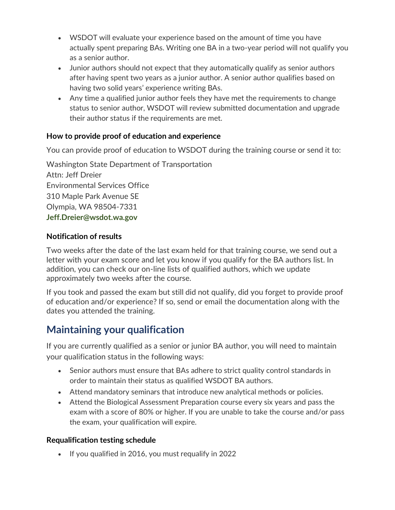- • WSDOT will evaluate your experience based on the amount of time you have actually spent preparing BAs. Writing one BA in a two-year period will not qualify you as a senior author.
- • Junior authors should not expect that they automatically qualify as senior authors after having spent two years as a junior author. A senior author qualifies based on having two solid years' experience writing BAs.
- • Any time a qualified junior author feels they have met the requirements to change status to senior author, WSDOT will review submitted documentation and upgrade their author status if the requirements are met.

#### **How to provide proof of education and experience**

You can provide proof of education to WSDOT during the training course or send it to:

 Attn: Jeff Dreier Environmental Services Office 310 Maple Park Avenue SE Olympia, WA 98504-7331 Washington State Department of Transportation **[Jeff.Dreier@wsdot.wa.gov](mailto:Jeff.Dreier@wsdot.wa.gov)** 

#### **Notification of results**

 Two weeks after the date of the last exam held for that training course, we send out a letter with your exam score and let you know if you qualify for the BA authors list. In addition, you can check our on-line lists of qualified authors, which we update approximately two weeks after the course.

 If you took and passed the exam but still did not qualify, did you forget to provide proof of education and/or experience? If so, send or email the documentation along with the dates you attended the training.

### **Maintaining your qualification**

 If you are currently qualified as a senior or junior BA author, you will need to maintain your qualification status in the following ways:

- • Senior authors must ensure that BAs adhere to strict quality control standards in order to maintain their status as qualified WSDOT BA authors.
- Attend mandatory seminars that introduce new analytical methods or policies.
- • Attend the Biological Assessment Preparation course every six years and pass the exam with a score of 80% or higher. If you are unable to take the course and/or pass the exam, your qualification will expire.

#### **Requalification testing schedule**

• If you qualified in 2016, you must requalify in 2022